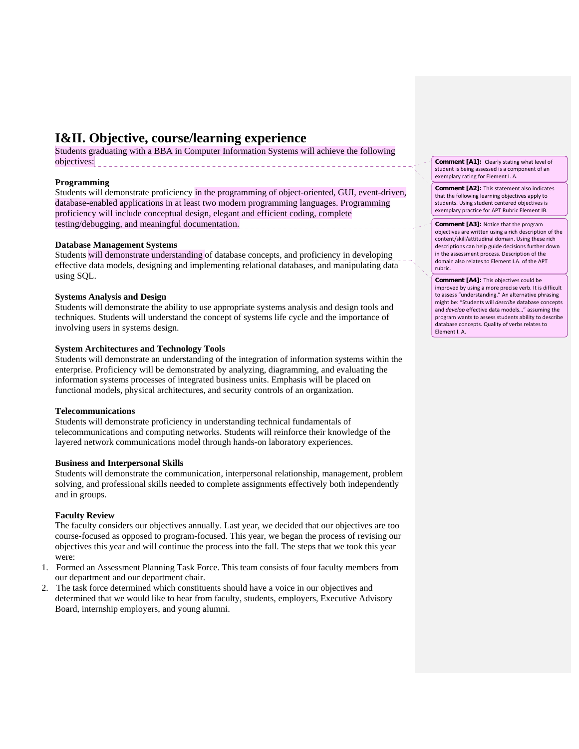# **I&II. Objective, course/learning experience**

Students graduating with a BBA in Computer Information Systems will achieve the following objectives: **blue and the contract of the contract of the contract of the contract of the contract of the contract of the contract of the contract of the contract of the contract of the contract of the contract of the cont** 

### **Programming**

Students will demonstrate proficiency in the programming of object-oriented, GUI, event-driven, database-enabled applications in at least two modern programming languages. Programming proficiency will include conceptual design, elegant and efficient coding, complete testing/debugging, and meaningful documentation.

### **Database Management Systems**

Students will demonstrate understanding of database concepts, and proficiency in developing effective data models, designing and implementing relational databases, and manipulating data using SQL.

### **Systems Analysis and Design**

Students will demonstrate the ability to use appropriate systems analysis and design tools and techniques. Students will understand the concept of systems life cycle and the importance of involving users in systems design.

### **System Architectures and Technology Tools**

Students will demonstrate an understanding of the integration of information systems within the enterprise. Proficiency will be demonstrated by analyzing, diagramming, and evaluating the information systems processes of integrated business units. Emphasis will be placed on functional models, physical architectures, and security controls of an organization.

### **Telecommunications**

Students will demonstrate proficiency in understanding technical fundamentals of telecommunications and computing networks. Students will reinforce their knowledge of the layered network communications model through hands-on laboratory experiences.

### **Business and Interpersonal Skills**

Students will demonstrate the communication, interpersonal relationship, management, problem solving, and professional skills needed to complete assignments effectively both independently and in groups.

### **Faculty Review**

The faculty considers our objectives annually. Last year, we decided that our objectives are too course-focused as opposed to program-focused. This year, we began the process of revising our objectives this year and will continue the process into the fall. The steps that we took this year were:

- 1. Formed an Assessment Planning Task Force. This team consists of four faculty members from our department and our department chair.
- 2. The task force determined which constituents should have a voice in our objectives and determined that we would like to hear from faculty, students, employers, Executive Advisory Board, internship employers, and young alumni.

**Comment [A1]:** Clearly stating what level of student is being assessed is a component of an exemplary rating for Element I. A.

**Comment [A2]:** This statement also indicates that the following learning objectives apply to students. Using student centered objectives is exemplary practice for APT Rubric Element IB.

#### **Comment [A3]:** Notice that the program

objectives are written using a rich description of the content/skill/attitudinal domain. Using these rich descriptions can help guide decisions further down in the assessment process. Description of the domain also relates to Element I.A. of the APT rubric.

**Comment [A4]:** This objectives could be improved by using a more precise verb. It is difficult to assess "understanding." An alternative phrasing might be: "Students will *describe* database concepts and *develop* effective data models…" assuming the program wants to assess students ability to describe database concepts. Quality of verbs relates to Element I. A.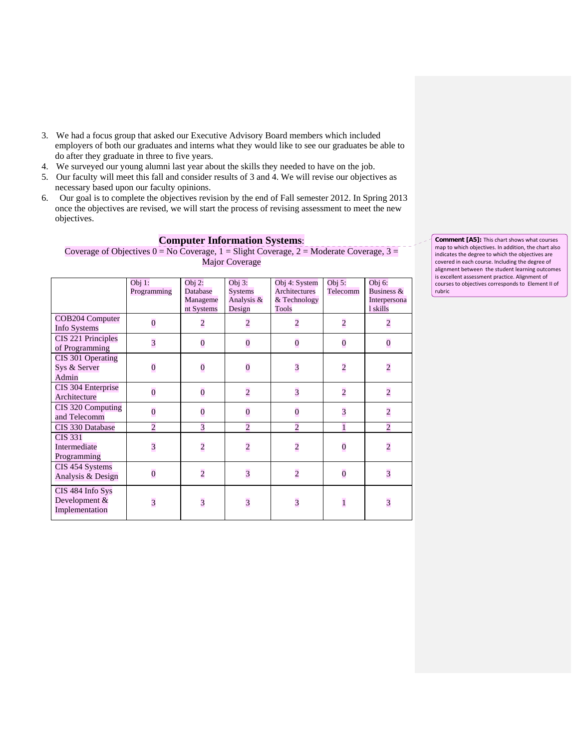- 3. We had a focus group that asked our Executive Advisory Board members which included employers of both our graduates and interns what they would like to see our graduates be able to do after they graduate in three to five years.
- 4. We surveyed our young alumni last year about the skills they needed to have on the job.
- 5. Our faculty will meet this fall and consider results of 3 and 4. We will revise our objectives as necessary based upon our faculty opinions.
- 6. Our goal is to complete the objectives revision by the end of Fall semester 2012. In Spring 2013 once the objectives are revised, we will start the process of revising assessment to meet the new objectives.

## **Computer Information Systems**:

Coverage of Objectives  $0 = No$  Coverage,  $1 = S$  light Coverage,  $2 = Moderate$  Coverage,  $3 =$ Major Coverage

|                                                     | Obj $1$ :<br>Programming | Obj $2:$<br>Database<br>Manageme<br>nt Systems | Obj $3:$<br><b>Systems</b><br>Analysis &<br>Design | Obj 4: System<br>Architectures<br>& Technology<br><b>Tools</b> | Obj 5:<br>Telecomm | Obj 6:<br>Business &<br>Interpersona<br>l skills |
|-----------------------------------------------------|--------------------------|------------------------------------------------|----------------------------------------------------|----------------------------------------------------------------|--------------------|--------------------------------------------------|
| COB204 Computer<br><b>Info Systems</b>              | $\bf{0}$                 | $\overline{c}$                                 | $\overline{c}$                                     | $\overline{c}$                                                 | $\overline{c}$     | $\overline{c}$                                   |
| CIS 221 Principles<br>of Programming                | $\overline{\mathbf{3}}$  | $\overline{0}$                                 | $\overline{0}$                                     | $\bf{0}$                                                       | $\overline{0}$     | $\overline{0}$                                   |
| CIS 301 Operating<br>Sys & Server<br>Admin          | $\overline{0}$           | $\overline{0}$                                 | $\overline{0}$                                     | $\overline{\mathbf{3}}$                                        | $\overline{c}$     | $\overline{c}$                                   |
| CIS 304 Enterprise<br>Architecture                  | $\overline{0}$           | $\overline{0}$                                 | $\overline{c}$                                     | $\overline{\mathbf{3}}$                                        | $\overline{c}$     | $\overline{c}$                                   |
| CIS 320 Computing<br>and Telecomm                   | $\overline{0}$           | $\overline{0}$                                 | $\overline{0}$                                     | $\overline{\mathbf{0}}$                                        | $\overline{3}$     | $\overline{c}$                                   |
| CIS 330 Database                                    | $\overline{2}$           | 3                                              | $\overline{2}$                                     | $\overline{c}$                                                 | $\mathbf{1}$       | $\overline{c}$                                   |
| <b>CIS 331</b><br>Intermediate<br>Programming       | $\overline{\mathbf{3}}$  | $\overline{c}$                                 | $\overline{c}$                                     | $\overline{c}$                                                 | $\overline{0}$     | $\overline{c}$                                   |
| CIS 454 Systems<br>Analysis & Design                | $\overline{0}$           | $\overline{c}$                                 | $\overline{\mathbf{3}}$                            | $\overline{c}$                                                 | $\overline{0}$     | $\overline{\mathbf{3}}$                          |
| CIS 484 Info Sys<br>Development &<br>Implementation | $\overline{\mathbf{3}}$  | $\overline{\mathbf{3}}$                        | $\overline{3}$                                     | $\overline{\mathbf{3}}$                                        | $\overline{1}$     | $\overline{\mathbf{3}}$                          |

**Comment [A5]:** This chart shows what courses map to which objectives. In addition, the chart also indicates the degree to which the objectives are covered in each course. Including the degree of alignment between the student learning outcomes is excellent assessment practice. Alignment of courses to objectives corresponds to Element II of rubric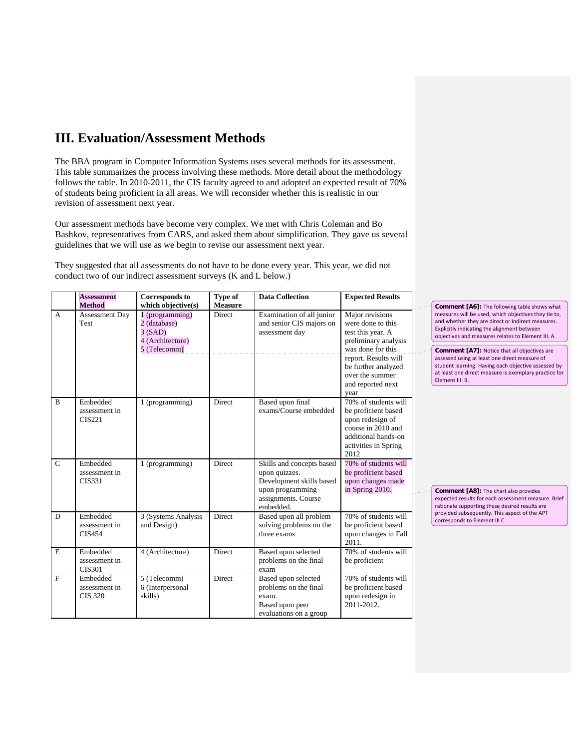# **III. Evaluation/Assessment Methods**

The BBA program in Computer Information Systems uses several methods for its assessment. This table summarizes the process involving these methods. More detail about the methodology follows the table. In 2010-2011, the CIS faculty agreed to and adopted an expected result of 70% of students being proficient in all areas. We will reconsider whether this is realistic in our revision of assessment next year.

Our assessment methods have become very complex. We met with Chris Coleman and Bo Bashkov, representatives from CARS, and asked them about simplification. They gave us several guidelines that we will use as we begin to revise our assessment next year.

They suggested that all assessments do not have to be done every year. This year, we did not conduct two of our indirect assessment surveys (K and L below.)

|               | <b>Assessment</b><br><b>Method</b>          | <b>Corresponds to</b><br>which objective(s)                                     | Type of<br><b>Measure</b> | <b>Data Collection</b>                                                                                                         | <b>Expected Results</b>                                                                                                                                                                               | Comment [A6]: The following table shows what                                                                                                                                                                                                                                                                                                                                                                                                              |
|---------------|---------------------------------------------|---------------------------------------------------------------------------------|---------------------------|--------------------------------------------------------------------------------------------------------------------------------|-------------------------------------------------------------------------------------------------------------------------------------------------------------------------------------------------------|-----------------------------------------------------------------------------------------------------------------------------------------------------------------------------------------------------------------------------------------------------------------------------------------------------------------------------------------------------------------------------------------------------------------------------------------------------------|
| $\mathbf{A}$  | Assessment Day<br>Test                      | $1$ (programming)<br>2 (database)<br>3(SAD)<br>4 (Architecture)<br>5 (Telecomm) | Direct                    | Examination of all junior<br>and senior CIS majors on<br>assessment day                                                        | Major revisions<br>were done to this<br>test this year. A<br>preliminary analysis<br>was done for this<br>report. Results will<br>be further analyzed<br>over the summer<br>and reported next<br>year | measures will be used, which objectives they tie to,<br>and whether they are direct or indirect measures.<br>Explicitly indicating the alignment between<br>objectives and measures relates to Element III. A.<br><b>Comment [A7]: Notice that all objectives are</b><br>assessed using at least one direct measure of<br>student learning. Having each objective assessed by<br>at least one direct measure is exemplary practice for<br>Element III. B. |
| B             | Embedded<br>assessment in<br><b>CIS221</b>  | 1 (programming)                                                                 | Direct                    | Based upon final<br>exams/Course embedded                                                                                      | 70% of students will<br>be proficient based<br>upon redesign of<br>course in 2010 and<br>additional hands-on<br>activities in Spring<br>2012                                                          |                                                                                                                                                                                                                                                                                                                                                                                                                                                           |
| $\mathcal{C}$ | Embedded<br>assessment in<br><b>CIS331</b>  | 1 (programming)                                                                 | Direct                    | Skills and concepts based<br>upon quizzes.<br>Development skills based<br>upon programming<br>assignments. Course<br>embedded. | 70% of students will<br>be proficient based<br>upon changes made<br>in Spring 2010.                                                                                                                   | Comment [A8]: The chart also provides<br>expected results for each assessment measure. Brief<br>rationale supporting these desired results are                                                                                                                                                                                                                                                                                                            |
| D             | Embedded<br>assessment in<br><b>CIS454</b>  | 3 (Systems Analysis<br>and Design)                                              | Direct                    | Based upon all problem<br>solving problems on the<br>three exams                                                               | 70% of students will<br>be proficient based<br>upon changes in Fall<br>2011.                                                                                                                          | provided subsequently. This aspect of the APT<br>corresponds to Element III C.                                                                                                                                                                                                                                                                                                                                                                            |
| $\mathbf E$   | Embedded<br>assessment in<br><b>CIS301</b>  | 4 (Architecture)                                                                | Direct                    | Based upon selected<br>problems on the final<br>exam                                                                           | 70% of students will<br>be proficient                                                                                                                                                                 |                                                                                                                                                                                                                                                                                                                                                                                                                                                           |
| $\mathbf F$   | Embedded<br>assessment in<br><b>CIS 320</b> | 5 (Telecomm)<br>6 (Interpersonal<br>skills)                                     | Direct                    | Based upon selected<br>problems on the final<br>exam.<br>Based upon peer<br>evaluations on a group                             | 70% of students will<br>be proficient based<br>upon redesign in<br>2011-2012.                                                                                                                         |                                                                                                                                                                                                                                                                                                                                                                                                                                                           |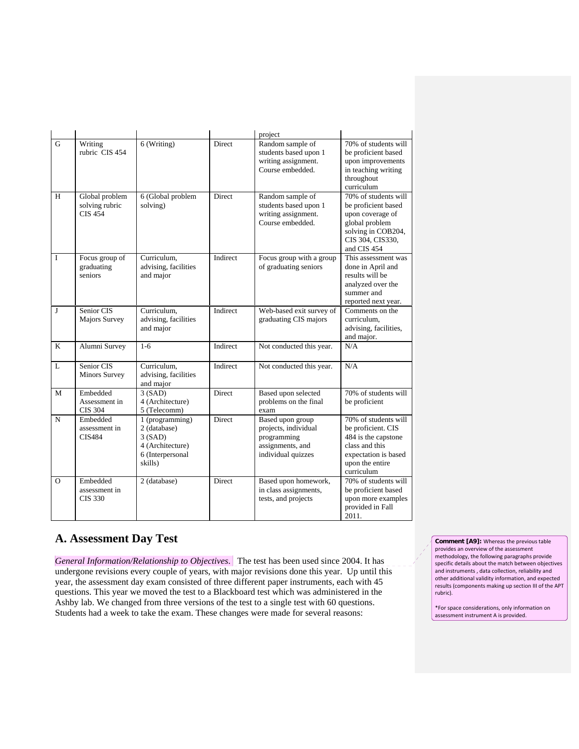|              |                                                    |                                                                                              |               | project                                                                                           |                                                                                                                                              |
|--------------|----------------------------------------------------|----------------------------------------------------------------------------------------------|---------------|---------------------------------------------------------------------------------------------------|----------------------------------------------------------------------------------------------------------------------------------------------|
| G            | Writing<br>rubric CIS 454                          | 6 (Writing)                                                                                  | <b>Direct</b> | Random sample of<br>students based upon 1<br>writing assignment.<br>Course embedded.              | 70% of students will<br>be proficient based<br>upon improvements<br>in teaching writing<br>throughout<br>curriculum                          |
| H            | Global problem<br>solving rubric<br><b>CIS 454</b> | 6 (Global problem<br>solving)                                                                | <b>Direct</b> | Random sample of<br>students based upon 1<br>writing assignment.<br>Course embedded.              | 70% of students will<br>be proficient based<br>upon coverage of<br>global problem<br>solving in COB204,<br>CIS 304, CIS330,<br>and CIS 454   |
| $\mathbf I$  | Focus group of<br>graduating<br>seniors            | Curriculum.<br>advising, facilities<br>and major                                             | Indirect      | Focus group with a group<br>of graduating seniors                                                 | This assessment was<br>done in April and<br>results will be<br>analyzed over the<br>summer and<br>reported next year.                        |
| J            | Senior CIS<br><b>Majors Survey</b>                 | Curriculum.<br>advising, facilities<br>and major                                             | Indirect      | Web-based exit survey of<br>graduating CIS majors                                                 | Comments on the<br>curriculum,<br>advising, facilities,<br>and major.                                                                        |
| K            | Alumni Survey                                      | $1 - 6$                                                                                      | Indirect      | Not conducted this year.                                                                          | N/A                                                                                                                                          |
| $\mathbf{L}$ | Senior CIS<br><b>Minors Survey</b>                 | Curriculum,<br>advising, facilities<br>and major                                             | Indirect      | Not conducted this year.                                                                          | N/A                                                                                                                                          |
| M            | Embedded<br>Assessment in<br><b>CIS 304</b>        | 3(SAD)<br>4 (Architecture)<br>5 (Telecomm)                                                   | Direct        | Based upon selected<br>problems on the final<br>exam                                              | 70% of students will<br>be proficient                                                                                                        |
| N            | Embedded<br>assessment in<br><b>CIS484</b>         | 1 (programming)<br>2 (database)<br>3(SAD)<br>4 (Architecture)<br>6 (Interpersonal<br>skills) | <b>Direct</b> | Based upon group<br>projects, individual<br>programming<br>assignments, and<br>individual quizzes | 70% of students will<br>be proficient. CIS<br>484 is the capstone<br>class and this<br>expectation is based<br>upon the entire<br>curriculum |
| $\Omega$     | Embedded<br>assessment in<br>CIS 330               | 2 (database)                                                                                 | Direct        | Based upon homework,<br>in class assignments,<br>tests, and projects                              | 70% of students will<br>be proficient based<br>upon more examples<br>provided in Fall<br>2011.                                               |

## **A. Assessment Day Test**

*General Information/Relationship to Objectives*. The test has been used since 2004. It has undergone revisions every couple of years, with major revisions done this year. Up until this year, the assessment day exam consisted of three different paper instruments, each with 45 questions. This year we moved the test to a Blackboard test which was administered in the Ashby lab. We changed from three versions of the test to a single test with 60 questions. Students had a week to take the exam. These changes were made for several reasons:

**Comment [A9]:** Whereas the previous table provides an overview of the assessment methodology, the following paragraphs provide specific details about the match between objectives and instruments , data collection, reliability and other additional validity information, and expected results (components making up section III of the APT rubric).

\*For space considerations, only information on assessment instrument A is provided.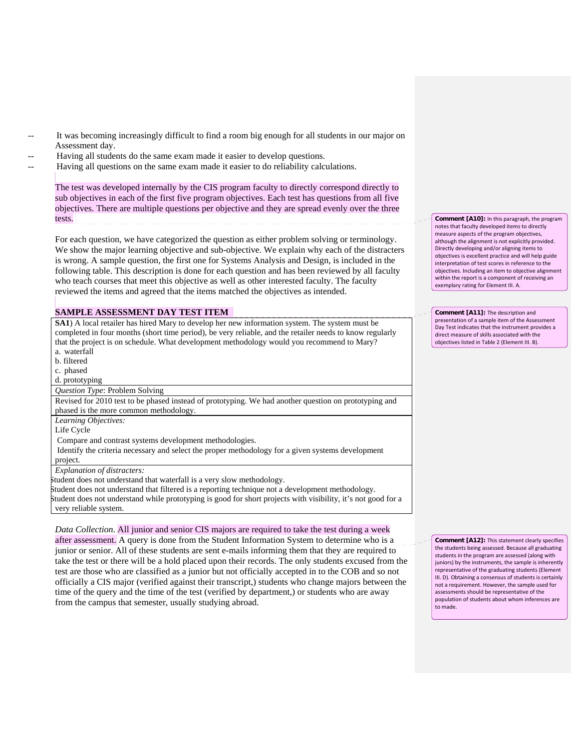- It was becoming increasingly difficult to find a room big enough for all students in our major on Assessment day.
	- Having all students do the same exam made it easier to develop questions.

Having all questions on the same exam made it easier to do reliability calculations.

The test was developed internally by the CIS program faculty to directly correspond directly to sub objectives in each of the first five program objectives. Each test has questions from all five objectives. There are multiple questions per objective and they are spread evenly over the three tests.

For each question, we have categorized the question as either problem solving or terminology. We show the major learning objective and sub-objective. We explain why each of the distracters is wrong. A sample question, the first one for Systems Analysis and Design, is included in the following table. This description is done for each question and has been reviewed by all faculty who teach courses that meet this objective as well as other interested faculty. The faculty reviewed the items and agreed that the items matched the objectives as intended.

#### **SAMPLE ASSESSMENT DAY TEST ITEM**

**SA1**) A local retailer has hired Mary to develop her new information system. The system must be completed in four months (short time period), be very reliable, and the retailer needs to know regularly that the project is on schedule. What development methodology would you recommend to Mary? a. waterfall

b. filtered

c. phased

d. prototyping

*Question Type*: Problem Solving

Revised for 2010 test to be phased instead of prototyping. We had another question on prototyping and phased is the more common methodology.

*Learning Objectives:*

Life Cycle

Compare and contrast systems development methodologies.

 Identify the criteria necessary and select the proper methodology for a given systems development project.

*Explanation of distracters:*

tudent does not understand that waterfall is a very slow methodology.

Student does not understand that filtered is a reporting technique not a development methodology. Student does not understand while prototyping is good for short projects with visibility, it's not good for a very reliable system.

*Data Collection*. All junior and senior CIS majors are required to take the test during a week after assessment. A query is done from the Student Information System to determine who is a junior or senior. All of these students are sent e-mails informing them that they are required to take the test or there will be a hold placed upon their records. The only students excused from the test are those who are classified as a junior but not officially accepted in to the COB and so not officially a CIS major (verified against their transcript,) students who change majors between the time of the query and the time of the test (verified by department,) or students who are away from the campus that semester, usually studying abroad.

**Comment [A10]:** In this paragraph, the program notes that faculty developed items to directly measure aspects of the program objectives, although the alignment is not explicitly provided. Directly developing and/or aligning items to objectives is excellent practice and will help guide interpretation of test scores in reference to the objectives. Including an item to objective alignment within the report is a component of receiving an exemplary rating for Element III. A.

**Comment [A11]:** The description and presentation of a sample item of the Assessment Day Test indicates that the instrument provides a direct measure of skills associated with the objectives listed in Table 2 (Element III. B).

**Comment [A12]:** This statement clearly specifies the students being assessed. Because all graduating students in the program are assessed (along with juniors) by the instruments, the sample is inherently representative of the graduating students (Element III. D). Obtaining a consensus of students is certainly not a requirement. However, the sample used for assessments should be representative of the population of students about whom inferences are .<br>to made.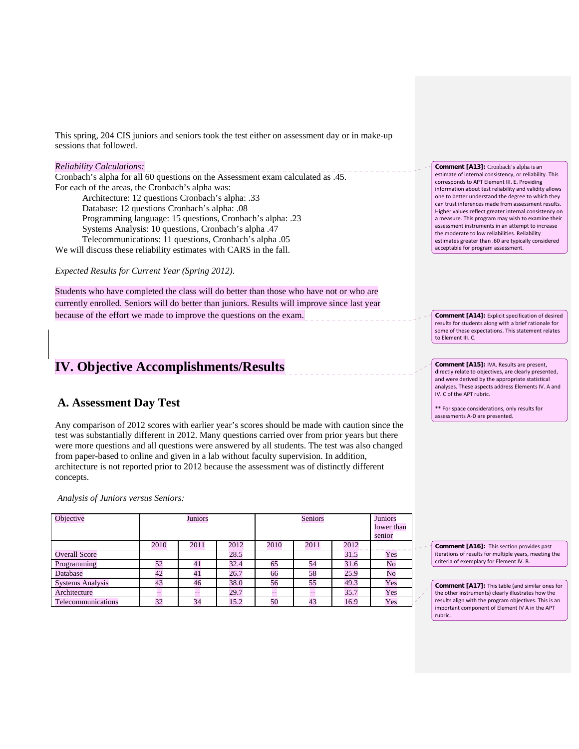This spring, 204 CIS juniors and seniors took the test either on assessment day or in make-up sessions that followed.

#### *Reliability Calculations:*

Cronbach's alpha for all 60 questions on the Assessment exam calculated as .45. For each of the areas, the Cronbach's alpha was:

 Architecture: 12 questions Cronbach's alpha: .33 Database: 12 questions Cronbach's alpha: .08 Programming language: 15 questions, Cronbach's alpha: .23 Systems Analysis: 10 questions, Cronbach's alpha .47 Telecommunications: 11 questions, Cronbach's alpha .05

We will discuss these reliability estimates with CARS in the fall.

*Expected Results for Current Year (Spring 2012)*.

Students who have completed the class will do better than those who have not or who are currently enrolled. Seniors will do better than juniors. Results will improve since last year because of the effort we made to improve the questions on the exam.

# **IV. Objective Accomplishments/Results**

## **A. Assessment Day Test**

Any comparison of 2012 scores with earlier year's scores should be made with caution since the test was substantially different in 2012. Many questions carried over from prior years but there were more questions and all questions were answered by all students. The test was also changed from paper-based to online and given in a lab without faculty supervision. In addition, architecture is not reported prior to 2012 because the assessment was of distinctly different concepts.

*Analysis of Juniors versus Seniors:*

| Objective               | <b>Juniors</b> |      |      | <b>Seniors</b> |      |      | <b>Juniors</b><br>lower than<br>senior |
|-------------------------|----------------|------|------|----------------|------|------|----------------------------------------|
|                         | 2010           | 2011 | 2012 | 2010           | 2011 | 2012 |                                        |
| <b>Overall Score</b>    |                |      | 28.5 |                |      | 31.5 | Yes                                    |
| Programming             | 52             | 41   | 32.4 | 65             | 54   | 31.6 | No                                     |
| Database                | 42             | 41   | 26.7 | 66             | 58   | 25.9 | No                                     |
| <b>Systems Analysis</b> | 43             | 46   | 38.0 | 56             | 55   | 49.3 | Yes                                    |
| Architecture            | --             | --   | 29.7 | $-$            | --   | 35.7 | Yes                                    |
| Telecommunications      | 32             | 34   | 15.2 | 50             | 43   | 16.9 | Yes                                    |

**Comment [A13]:** Cronbach's alpha is an estimate of internal consistency, or reliability. This corresponds to APT Element III. E. Providing information about test reliability and validity allows one to better understand the degree to which they can trust inferences made from assessment results. Higher values reflect greater internal consistency on a measure. This program may wish to examine their assessment instruments in an attempt to increase the moderate to low reliabilities. Reliability estimates greater than .60 are typically considered acceptable for program assessment.

**Comment [A14]:** Explicit specification of desired results for students along with a brief rationale for some of these expectations. This statement relates to Element III. C.

**Comment [A15]:** IVA. Results are present, directly relate to objectives, are clearly presented, and were derived by the appropriate statistical analyses. These aspects address Elements IV. A and IV. C of the APT rubric.

\*\* For space considerations, only results for assessments A‐D are presented.

**Comment [A16]:** This section provides past iterations of results for multiple years, meeting the criteria of exemplary for Element IV. B.

**Comment [A17]:** This table (and similar ones for the other instruments) clearly illustrates how the results align with the program objectives. This is an important component of Element IV A in the APT rubric.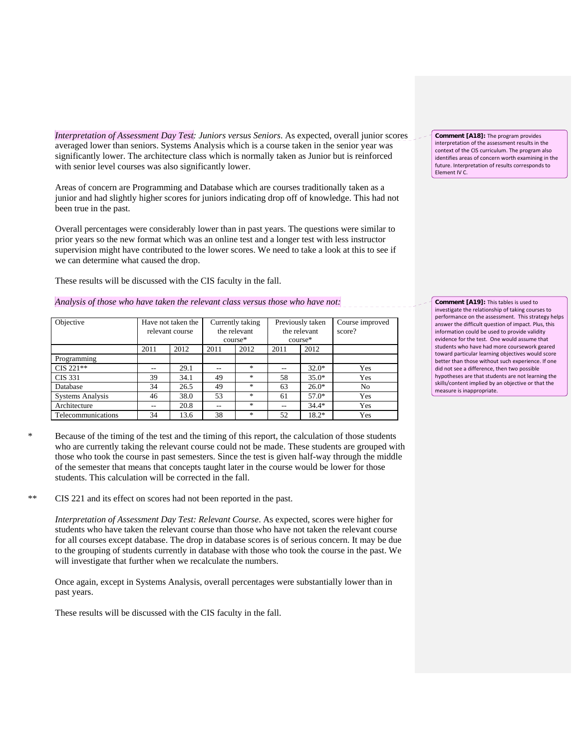*Interpretation of Assessment Day Test: Juniors versus Seniors*. As expected, overall junior scores averaged lower than seniors. Systems Analysis which is a course taken in the senior year was significantly lower. The architecture class which is normally taken as Junior but is reinforced with senior level courses was also significantly lower.

Areas of concern are Programming and Database which are courses traditionally taken as a junior and had slightly higher scores for juniors indicating drop off of knowledge. This had not been true in the past.

Overall percentages were considerably lower than in past years. The questions were similar to prior years so the new format which was an online test and a longer test with less instructor supervision might have contributed to the lower scores. We need to take a look at this to see if we can determine what caused the drop.

These results will be discussed with the CIS faculty in the fall.

#### *Analysis of those who have taken the relevant class versus those who have not:*

| Objective               | Have not taken the<br>relevant course |      | Currently taking<br>the relevant<br>$course*$ |        | Previously taken<br>the relevant<br>course* |         | Course improved<br>score? |
|-------------------------|---------------------------------------|------|-----------------------------------------------|--------|---------------------------------------------|---------|---------------------------|
|                         | 2011                                  | 2012 | 2011                                          | 2012   | 2011                                        | 2012    |                           |
| Programming             |                                       |      |                                               |        |                                             |         |                           |
| $CIS 221**$             |                                       | 29.1 | --                                            | *      | --                                          | $32.0*$ | Yes                       |
| CIS 331                 | 39                                    | 34.1 | 49                                            | $\ast$ | 58                                          | $35.0*$ | Yes                       |
| Database                | 34                                    | 26.5 | 49                                            | 冰      | 63                                          | $26.0*$ | No                        |
| <b>Systems Analysis</b> | 46                                    | 38.0 | 53                                            | $\ast$ | 61                                          | $57.0*$ | Yes                       |
| Architecture            |                                       | 20.8 | --                                            | $\ast$ | --                                          | $34.4*$ | Yes                       |
| Telecommunications      | 34                                    | 13.6 | 38                                            | $*$    | 52                                          | $18.2*$ | Yes                       |

- Because of the timing of the test and the timing of this report, the calculation of those students who are currently taking the relevant course could not be made. These students are grouped with those who took the course in past semesters. Since the test is given half-way through the middle of the semester that means that concepts taught later in the course would be lower for those students. This calculation will be corrected in the fall.
- \*\* CIS 221 and its effect on scores had not been reported in the past.

*Interpretation of Assessment Day Test: Relevant Course*. As expected, scores were higher for students who have taken the relevant course than those who have not taken the relevant course for all courses except database. The drop in database scores is of serious concern. It may be due to the grouping of students currently in database with those who took the course in the past. We will investigate that further when we recalculate the numbers.

Once again, except in Systems Analysis, overall percentages were substantially lower than in past years.

These results will be discussed with the CIS faculty in the fall.

**Comment [A18]:** The program provides interpretation of the assessment results in the context of the CIS curriculum. The program also identifies areas of concern worth examining in the future. Interpretation of results corresponds to Element IV C.

**Comment [A19]:** This tables is used to investigate the relationship of taking courses to performance on the assessment. This strategy helps answer the difficult question of impact. Plus, this information could be used to provide validity evidence for the test. One would assume that students who have had more coursework geared toward particular learning objectives would score better than those without such experience. If one did not see a difference, then two possible hypotheses are that students are not learning the skills/content implied by an objective or that the measure is inappropriate.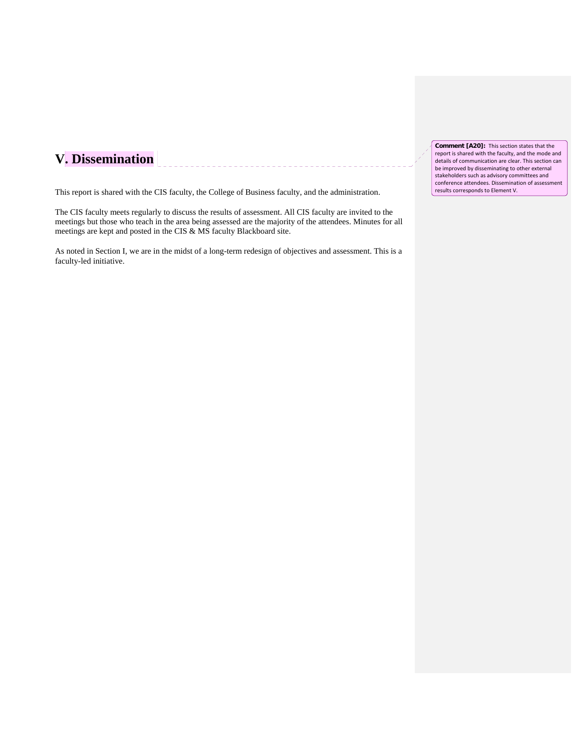# **V. Dissemination**

This report is shared with the CIS faculty, the College of Business faculty, and the administration.

The CIS faculty meets regularly to discuss the results of assessment. All CIS faculty are invited to the meetings but those who teach in the area being assessed are the majority of the attendees. Minutes for all meetings are kept and posted in the CIS & MS faculty Blackboard site.

As noted in Section I, we are in the midst of a long-term redesign of objectives and assessment. This is a faculty-led initiative.

**Comment [A20]:** This section states that the report is shared with the faculty, and the mode and details of communication are clear. This section can be improved by disseminating to other external stakeholders such as advisory committees and conference attendees. Dissemination of assessment results corresponds to Element V.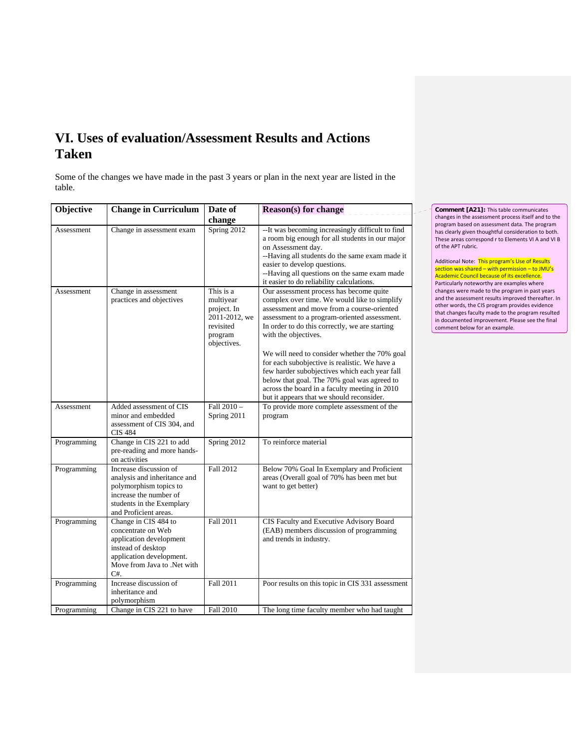# **VI. Uses of evaluation/Assessment Results and Actions Taken**

Some of the changes we have made in the past 3 years or plan in the next year are listed in the table.

| Objective   | <b>Change in Curriculum</b>                                                                                                                                      | Date of                                                                                       | <b>Reason(s)</b> for change                                                                                                                                                                                                                                                                                                                                                                                                                                                                                                                                     |
|-------------|------------------------------------------------------------------------------------------------------------------------------------------------------------------|-----------------------------------------------------------------------------------------------|-----------------------------------------------------------------------------------------------------------------------------------------------------------------------------------------------------------------------------------------------------------------------------------------------------------------------------------------------------------------------------------------------------------------------------------------------------------------------------------------------------------------------------------------------------------------|
|             |                                                                                                                                                                  | change                                                                                        |                                                                                                                                                                                                                                                                                                                                                                                                                                                                                                                                                                 |
| Assessment  | Change in assessment exam                                                                                                                                        | Spring 2012                                                                                   | -- It was becoming increasingly difficult to find<br>a room big enough for all students in our major<br>on Assessment day.<br>--Having all students do the same exam made it<br>easier to develop questions.<br>--Having all questions on the same exam made<br>it easier to do reliability calculations.                                                                                                                                                                                                                                                       |
| Assessment  | Change in assessment<br>practices and objectives                                                                                                                 | This is a<br>multiyear<br>project. In<br>2011-2012, we<br>revisited<br>program<br>objectives. | Our assessment process has become quite<br>complex over time. We would like to simplify<br>assessment and move from a course-oriented<br>assessment to a program-oriented assessment.<br>In order to do this correctly, we are starting<br>with the objectives.<br>We will need to consider whether the 70% goal<br>for each subobjective is realistic. We have a<br>few harder subobjectives which each year fall<br>below that goal. The 70% goal was agreed to<br>across the board in a faculty meeting in 2010<br>but it appears that we should reconsider. |
| Assessment  | Added assessment of CIS<br>minor and embedded<br>assessment of CIS 304, and<br><b>CIS 484</b>                                                                    | Fall 2010 -<br>Spring 2011                                                                    | To provide more complete assessment of the<br>program                                                                                                                                                                                                                                                                                                                                                                                                                                                                                                           |
| Programming | Change in CIS 221 to add<br>pre-reading and more hands-<br>on activities                                                                                         | Spring 2012                                                                                   | To reinforce material                                                                                                                                                                                                                                                                                                                                                                                                                                                                                                                                           |
| Programming | Increase discussion of<br>analysis and inheritance and<br>polymorphism topics to<br>increase the number of<br>students in the Exemplary<br>and Proficient areas. | Fall 2012                                                                                     | Below 70% Goal In Exemplary and Proficient<br>areas (Overall goal of 70% has been met but<br>want to get better)                                                                                                                                                                                                                                                                                                                                                                                                                                                |
| Programming | Change in CIS 484 to<br>concentrate on Web<br>application development<br>instead of desktop<br>application development.<br>Move from Java to .Net with<br>$C#$ . | Fall 2011                                                                                     | CIS Faculty and Executive Advisory Board<br>(EAB) members discussion of programming<br>and trends in industry.                                                                                                                                                                                                                                                                                                                                                                                                                                                  |
| Programming | Increase discussion of<br>inheritance and<br>polymorphism                                                                                                        | Fall 2011                                                                                     | Poor results on this topic in CIS 331 assessment                                                                                                                                                                                                                                                                                                                                                                                                                                                                                                                |
| Programming | Change in CIS 221 to have                                                                                                                                        | Fall 2010                                                                                     | The long time faculty member who had taught                                                                                                                                                                                                                                                                                                                                                                                                                                                                                                                     |

**Comment [A21]:** This table communicates changes in the assessment process itself and to the program based on assessment data. The program has clearly given thoughtful consideration to both. These areas correspond r to Elements VI A and VI B of the APT rubric.

Additional Note: This program's Use of Results section was shared – with permission – to JMU's Academic Council because of its excellence. Particularly noteworthy are examples where changes were made to the program in past years and the assessment results improved thereafter. In other words, the CIS program provides evidence that changes faculty made to the program resulted in documented improvement. Please see the final comment below for an example.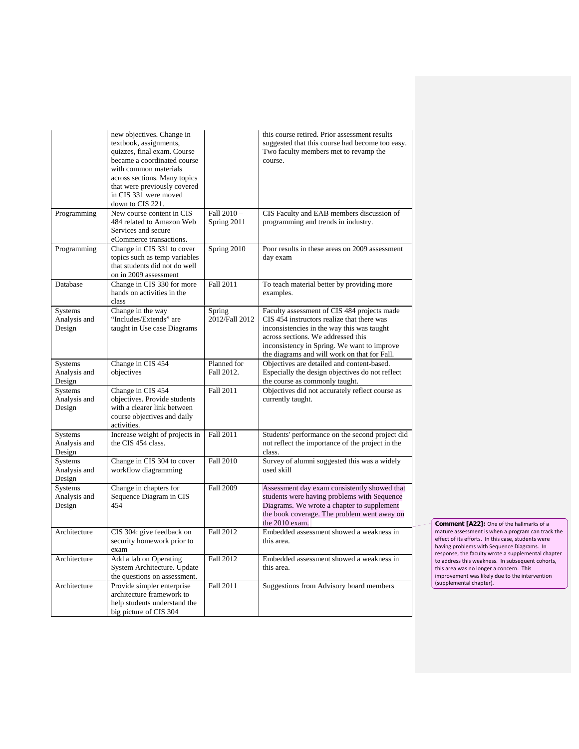|                                          | new objectives. Change in<br>textbook, assignments,<br>quizzes, final exam. Course<br>became a coordinated course<br>with common materials<br>across sections. Many topics<br>that were previously covered<br>in CIS 331 were moved<br>down to CIS 221. |                           | this course retired. Prior assessment results<br>suggested that this course had become too easy.<br>Two faculty members met to revamp the<br>course.                                                                                                                         |
|------------------------------------------|---------------------------------------------------------------------------------------------------------------------------------------------------------------------------------------------------------------------------------------------------------|---------------------------|------------------------------------------------------------------------------------------------------------------------------------------------------------------------------------------------------------------------------------------------------------------------------|
| Programming                              | New course content in CIS<br>484 related to Amazon Web<br>Services and secure<br>eCommerce transactions.                                                                                                                                                | Fall 2010-<br>Spring 2011 | CIS Faculty and EAB members discussion of<br>programming and trends in industry.                                                                                                                                                                                             |
| Programming                              | Change in CIS 331 to cover<br>topics such as temp variables<br>that students did not do well<br>on in 2009 assessment                                                                                                                                   | Spring 2010               | Poor results in these areas on 2009 assessment<br>day exam                                                                                                                                                                                                                   |
| Database                                 | Change in CIS 330 for more<br>hands on activities in the<br>class                                                                                                                                                                                       | Fall 2011                 | To teach material better by providing more<br>examples.                                                                                                                                                                                                                      |
| <b>Systems</b><br>Analysis and<br>Design | Change in the way<br>"Includes/Extends" are<br>taught in Use case Diagrams                                                                                                                                                                              | Spring<br>2012/Fall 2012  | Faculty assessment of CIS 484 projects made<br>CIS 454 instructors realize that there was<br>inconsistencies in the way this was taught<br>across sections. We addressed this<br>inconsistency in Spring. We want to improve<br>the diagrams and will work on that for Fall. |
| Systems<br>Analysis and<br>Design        | Change in CIS 454<br>objectives                                                                                                                                                                                                                         | Planned for<br>Fall 2012. | Objectives are detailed and content-based.<br>Especially the design objectives do not reflect<br>the course as commonly taught.                                                                                                                                              |
| Systems<br>Analysis and<br>Design        | Change in CIS 454<br>objectives. Provide students<br>with a clearer link between<br>course objectives and daily<br>activities.                                                                                                                          | <b>Fall 2011</b>          | Objectives did not accurately reflect course as<br>currently taught.                                                                                                                                                                                                         |
| <b>Systems</b><br>Analysis and<br>Design | Increase weight of projects in<br>the CIS 454 class.                                                                                                                                                                                                    | Fall 2011                 | Students' performance on the second project did<br>not reflect the importance of the project in the<br>class.                                                                                                                                                                |
| Systems<br>Analysis and<br>Design        | Change in CIS 304 to cover<br>workflow diagramming                                                                                                                                                                                                      | Fall 2010                 | Survey of alumni suggested this was a widely<br>used skill                                                                                                                                                                                                                   |
| Systems<br>Analysis and<br>Design        | Change in chapters for<br>Sequence Diagram in CIS<br>454                                                                                                                                                                                                | <b>Fall 2009</b>          | Assessment day exam consistently showed that<br>students were having problems with Sequence<br>Diagrams. We wrote a chapter to supplement<br>the book coverage. The problem went away on<br>the 2010 exam.                                                                   |
| Architecture                             | CIS 304: give feedback on<br>security homework prior to<br>exam                                                                                                                                                                                         | Fall 2012                 | Embedded assessment showed a weakness in<br>this area.                                                                                                                                                                                                                       |
| Architecture                             | Add a lab on Operating<br>System Architecture. Update<br>the questions on assessment.                                                                                                                                                                   | Fall 2012                 | Embedded assessment showed a weakness in<br>this area.                                                                                                                                                                                                                       |
| Architecture                             | Provide simpler enterprise<br>architecture framework to<br>help students understand the<br>big picture of CIS 304                                                                                                                                       | <b>Fall 2011</b>          | Suggestions from Advisory board members                                                                                                                                                                                                                                      |

**Comment [A22]:** One of the hallmarks of a mature assessment is when a program can track the effect of its efforts. In this case, students were having problems with Sequence Diagrams. In response, the faculty wrote a supplemental chapter to address this weakness. In subsequent cohorts, this area was no longer a concern. This improvement was likely due to the intervention (supplemental chapter).

J.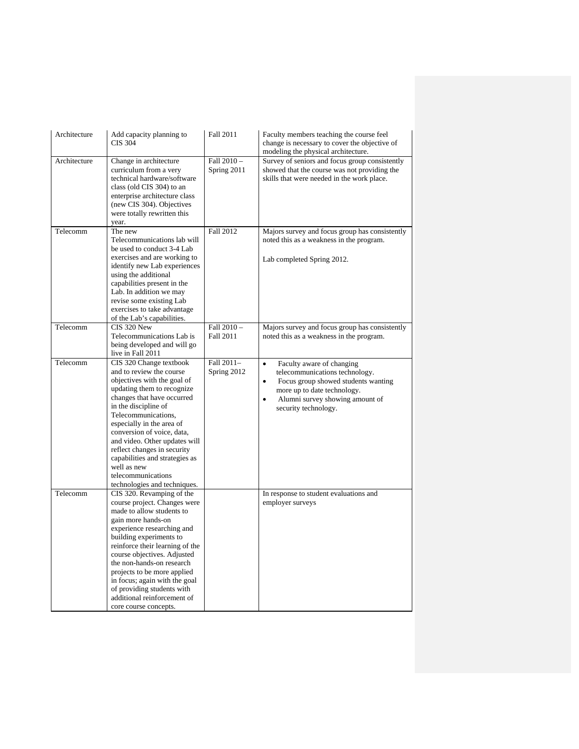| Architecture | Add capacity planning to<br><b>CIS 304</b>                                                                                                                                                                                                                                                                                                                                                                                      | Fall 2011                       | Faculty members teaching the course feel<br>change is necessary to cover the objective of<br>modeling the physical architecture.                                                                                                    |
|--------------|---------------------------------------------------------------------------------------------------------------------------------------------------------------------------------------------------------------------------------------------------------------------------------------------------------------------------------------------------------------------------------------------------------------------------------|---------------------------------|-------------------------------------------------------------------------------------------------------------------------------------------------------------------------------------------------------------------------------------|
| Architecture | Change in architecture<br>curriculum from a very<br>technical hardware/software<br>class (old CIS 304) to an<br>enterprise architecture class<br>(new CIS 304). Objectives<br>were totally rewritten this<br>year.                                                                                                                                                                                                              | Fall 2010-<br>Spring 2011       | Survey of seniors and focus group consistently<br>showed that the course was not providing the<br>skills that were needed in the work place.                                                                                        |
| Telecomm     | The new<br>Telecommunications lab will<br>be used to conduct 3-4 Lab<br>exercises and are working to<br>identify new Lab experiences<br>using the additional<br>capabilities present in the<br>Lab. In addition we may<br>revise some existing Lab<br>exercises to take advantage<br>of the Lab's capabilities.                                                                                                                 | Fall 2012                       | Majors survey and focus group has consistently<br>noted this as a weakness in the program.<br>Lab completed Spring 2012.                                                                                                            |
| Telecomm     | CIS 320 New<br>Telecommunications Lab is<br>being developed and will go<br>live in Fall 2011                                                                                                                                                                                                                                                                                                                                    | Fall 2010 -<br><b>Fall 2011</b> | Majors survey and focus group has consistently<br>noted this as a weakness in the program.                                                                                                                                          |
| Telecomm     | CIS 320 Change textbook<br>and to review the course<br>objectives with the goal of<br>updating them to recognize<br>changes that have occurred<br>in the discipline of<br>Telecommunications,<br>especially in the area of<br>conversion of voice, data,<br>and video. Other updates will<br>reflect changes in security<br>capabilities and strategies as<br>well as new<br>telecommunications<br>technologies and techniques. | Fall 2011-<br>Spring 2012       | $\bullet$<br>Faculty aware of changing<br>telecommunications technology.<br>$\bullet$<br>Focus group showed students wanting<br>more up to date technology.<br>Alumni survey showing amount of<br>$\bullet$<br>security technology. |
| Telecomm     | CIS 320. Revamping of the<br>course project. Changes were<br>made to allow students to<br>gain more hands-on<br>experience researching and<br>building experiments to<br>reinforce their learning of the<br>course objectives. Adjusted<br>the non-hands-on research<br>projects to be more applied<br>in focus; again with the goal<br>of providing students with<br>additional reinforcement of<br>core course concepts.      |                                 | In response to student evaluations and<br>employer surveys                                                                                                                                                                          |